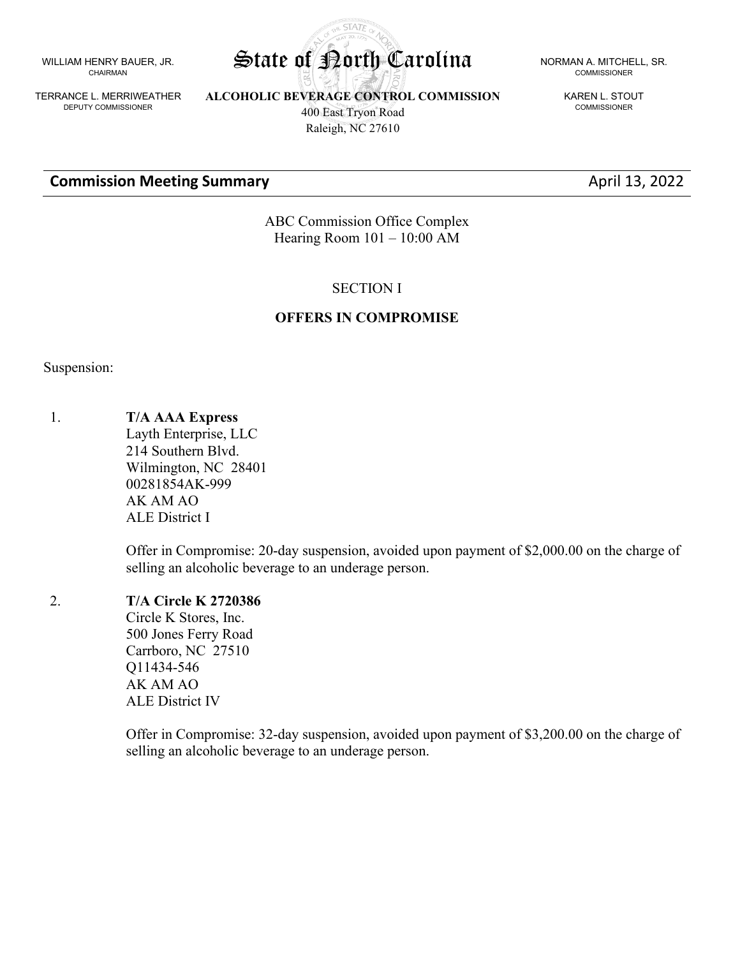WILLIAM HENRY BAUER, JR. CHAIRMAN

TERRANCE L. MERRIWEATHER DEPUTY COMMISSIONER

**ALCOHOLIC BEVERAGE CONTROL COMMISSION** 400 East Tryon Road Raleigh, NC 27610

**Commission Meeting Summary Commission Meeting Summary April 13, 2022** 

COMMISSIONER

KAREN L. STOUT COMMISSIONER

ABC Commission Office Complex Hearing Room 101 – 10:00 AM

#### SECTION I

#### **OFFERS IN COMPROMISE**

Suspension:

1. **T/A AAA Express**

Layth Enterprise, LLC 214 Southern Blvd. Wilmington, NC 28401 00281854AK-999 AK AM AO ALE District I

Offer in Compromise: 20-day suspension, avoided upon payment of \$2,000.00 on the charge of selling an alcoholic beverage to an underage person.

### 2. **T/A Circle K 2720386**

Circle K Stores, Inc. 500 Jones Ferry Road Carrboro, NC 27510 Q11434-546 AK AM AO ALE District IV

Offer in Compromise: 32-day suspension, avoided upon payment of \$3,200.00 on the charge of selling an alcoholic beverage to an underage person.

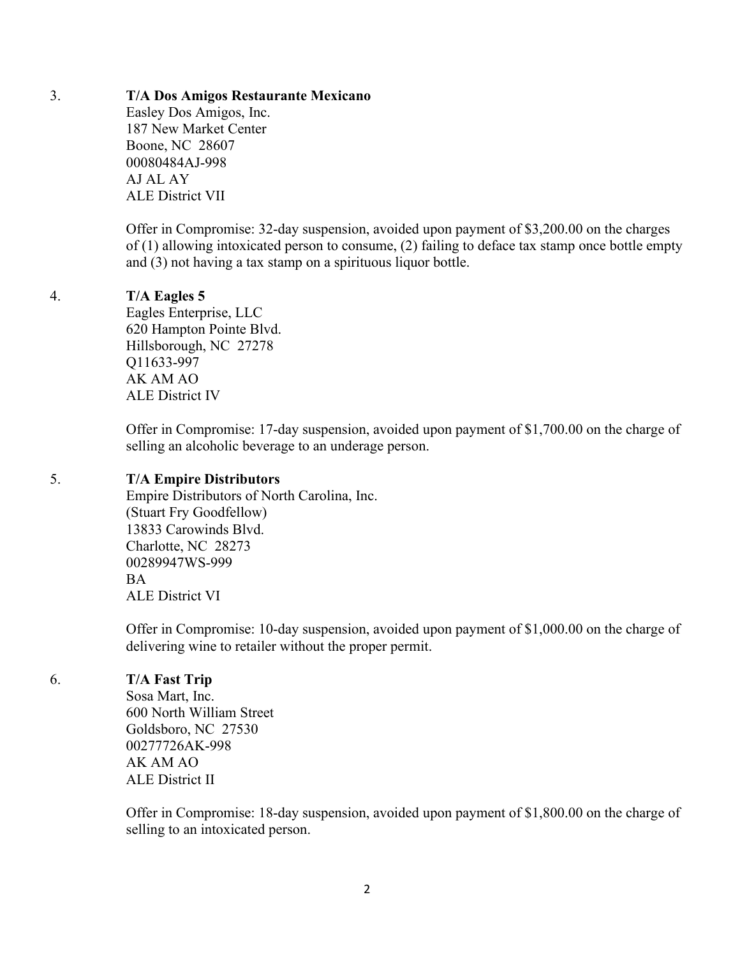### 3. **T/A Dos Amigos Restaurante Mexicano**

Easley Dos Amigos, Inc. 187 New Market Center Boone, NC 28607 00080484AJ-998 AJ AL AY ALE District VII

Offer in Compromise: 32-day suspension, avoided upon payment of \$3,200.00 on the charges of (1) allowing intoxicated person to consume, (2) failing to deface tax stamp once bottle empty and (3) not having a tax stamp on a spirituous liquor bottle.

### 4. **T/A Eagles 5**

Eagles Enterprise, LLC 620 Hampton Pointe Blvd. Hillsborough, NC 27278 Q11633-997 AK AM AO ALE District IV

Offer in Compromise: 17-day suspension, avoided upon payment of \$1,700.00 on the charge of selling an alcoholic beverage to an underage person.

### 5. **T/A Empire Distributors**

Empire Distributors of North Carolina, Inc. (Stuart Fry Goodfellow) 13833 Carowinds Blvd. Charlotte, NC 28273 00289947WS-999 **BA** ALE District VI

Offer in Compromise: 10-day suspension, avoided upon payment of \$1,000.00 on the charge of delivering wine to retailer without the proper permit.

6. **T/A Fast Trip**

Sosa Mart, Inc. 600 North William Street Goldsboro, NC 27530 00277726AK-998 AK AM AO ALE District II

Offer in Compromise: 18-day suspension, avoided upon payment of \$1,800.00 on the charge of selling to an intoxicated person.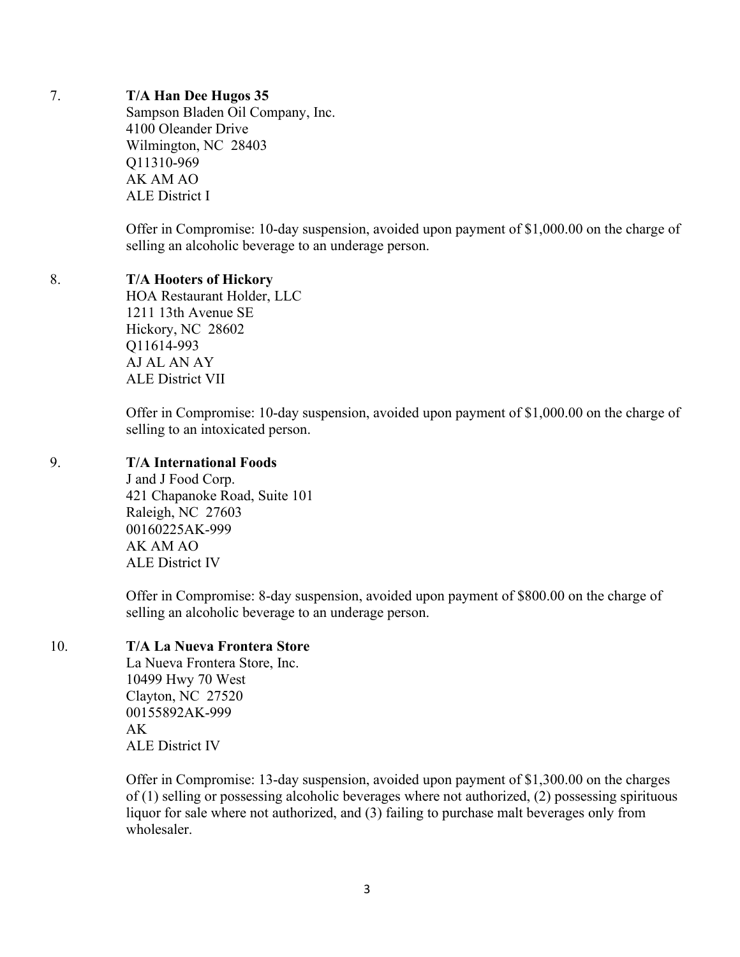### 7. **T/A Han Dee Hugos 35**

Sampson Bladen Oil Company, Inc. 4100 Oleander Drive Wilmington, NC 28403 Q11310-969 AK AM AO ALE District I

Offer in Compromise: 10-day suspension, avoided upon payment of \$1,000.00 on the charge of selling an alcoholic beverage to an underage person.

### 8. **T/A Hooters of Hickory**

HOA Restaurant Holder, LLC 1211 13th Avenue SE Hickory, NC 28602 Q11614-993 AJ AL AN AY ALE District VII

Offer in Compromise: 10-day suspension, avoided upon payment of \$1,000.00 on the charge of selling to an intoxicated person.

### 9. **T/A International Foods**

J and J Food Corp. 421 Chapanoke Road, Suite 101 Raleigh, NC 27603 00160225AK-999 AK AM AO ALE District IV

Offer in Compromise: 8-day suspension, avoided upon payment of \$800.00 on the charge of selling an alcoholic beverage to an underage person.

### 10. **T/A La Nueva Frontera Store**

La Nueva Frontera Store, Inc. 10499 Hwy 70 West Clayton, NC 27520 00155892AK-999 AK ALE District IV

Offer in Compromise: 13-day suspension, avoided upon payment of \$1,300.00 on the charges of (1) selling or possessing alcoholic beverages where not authorized, (2) possessing spirituous liquor for sale where not authorized, and (3) failing to purchase malt beverages only from wholesaler.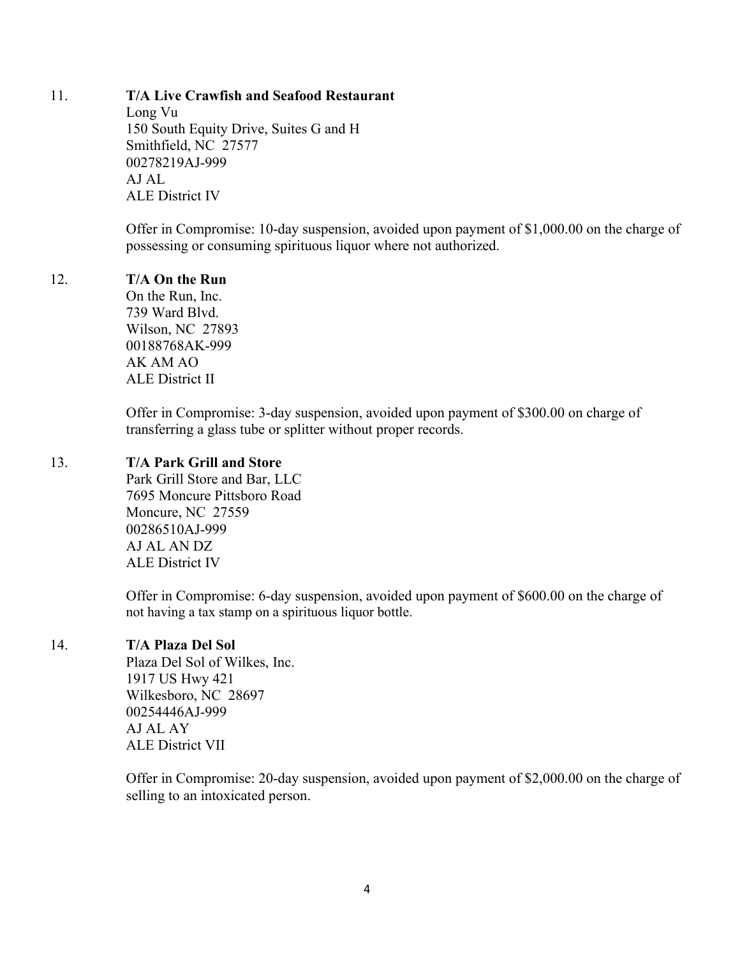### 11. **T/A Live Crawfish and Seafood Restaurant**

Long Vu 150 South Equity Drive, Suites G and H Smithfield, NC 27577 00278219AJ-999 AJ AL ALE District IV

Offer in Compromise: 10-day suspension, avoided upon payment of \$1,000.00 on the charge of possessing or consuming spirituous liquor where not authorized.

### 12. **T/A On the Run**

On the Run, Inc. 739 Ward Blvd. Wilson, NC 27893 00188768AK-999 AK AM AO ALE District II

Offer in Compromise: 3-day suspension, avoided upon payment of \$300.00 on charge of transferring a glass tube or splitter without proper records.

### 13. **T/A Park Grill and Store**

Park Grill Store and Bar, LLC 7695 Moncure Pittsboro Road Moncure, NC 27559 00286510AJ-999 AJ AL AN DZ ALE District IV

Offer in Compromise: 6-day suspension, avoided upon payment of \$600.00 on the charge of not having a tax stamp on a spirituous liquor bottle.

## 14. **T/A Plaza Del Sol**

Plaza Del Sol of Wilkes, Inc. 1917 US Hwy 421 Wilkesboro, NC 28697 00254446AJ-999 AJ AL AY ALE District VII

Offer in Compromise: 20-day suspension, avoided upon payment of \$2,000.00 on the charge of selling to an intoxicated person.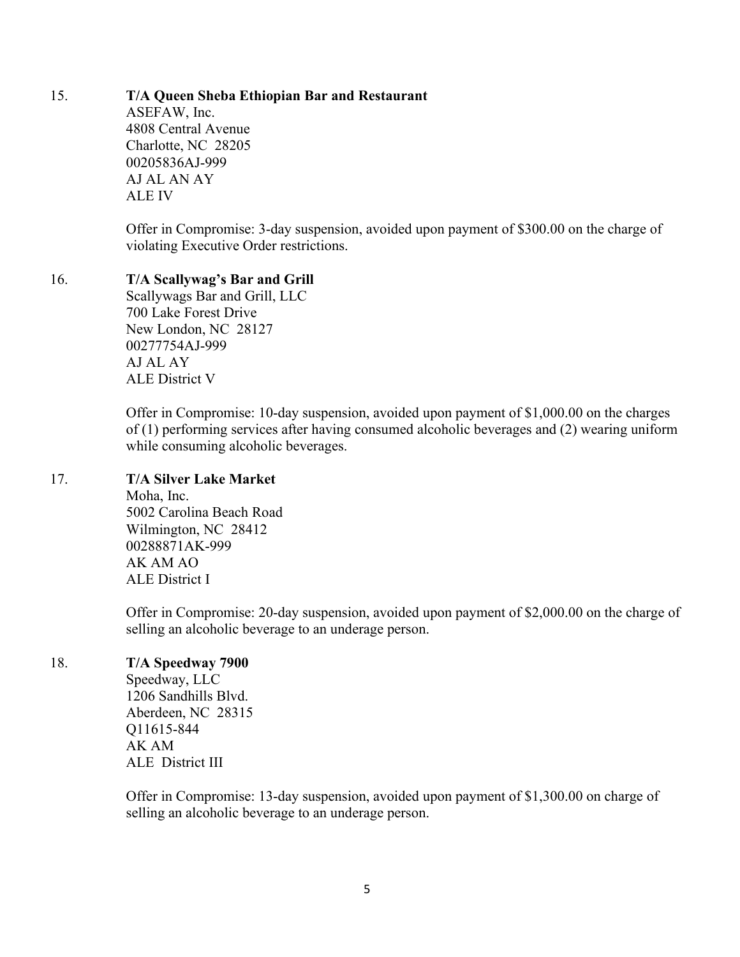# 15. **T/A Queen Sheba Ethiopian Bar and Restaurant**

ASEFAW, Inc. 4808 Central Avenue Charlotte, NC 28205 00205836AJ-999 AJ AL AN AY ALE IV

Offer in Compromise: 3-day suspension, avoided upon payment of \$300.00 on the charge of violating Executive Order restrictions.

## 16. **T/A Scallywag's Bar and Grill**

Scallywags Bar and Grill, LLC 700 Lake Forest Drive New London, NC 28127 00277754AJ-999 AJ AL AY ALE District V

Offer in Compromise: 10-day suspension, avoided upon payment of \$1,000.00 on the charges of (1) performing services after having consumed alcoholic beverages and (2) wearing uniform while consuming alcoholic beverages.

## 17. **T/A Silver Lake Market**

Moha, Inc. 5002 Carolina Beach Road Wilmington, NC 28412 00288871AK-999 AK AM AO ALE District I

Offer in Compromise: 20-day suspension, avoided upon payment of \$2,000.00 on the charge of selling an alcoholic beverage to an underage person.

## 18. **T/A Speedway 7900**

Speedway, LLC 1206 Sandhills Blvd. Aberdeen, NC 28315 Q11615-844 AK AM ALE District III

Offer in Compromise: 13-day suspension, avoided upon payment of \$1,300.00 on charge of selling an alcoholic beverage to an underage person.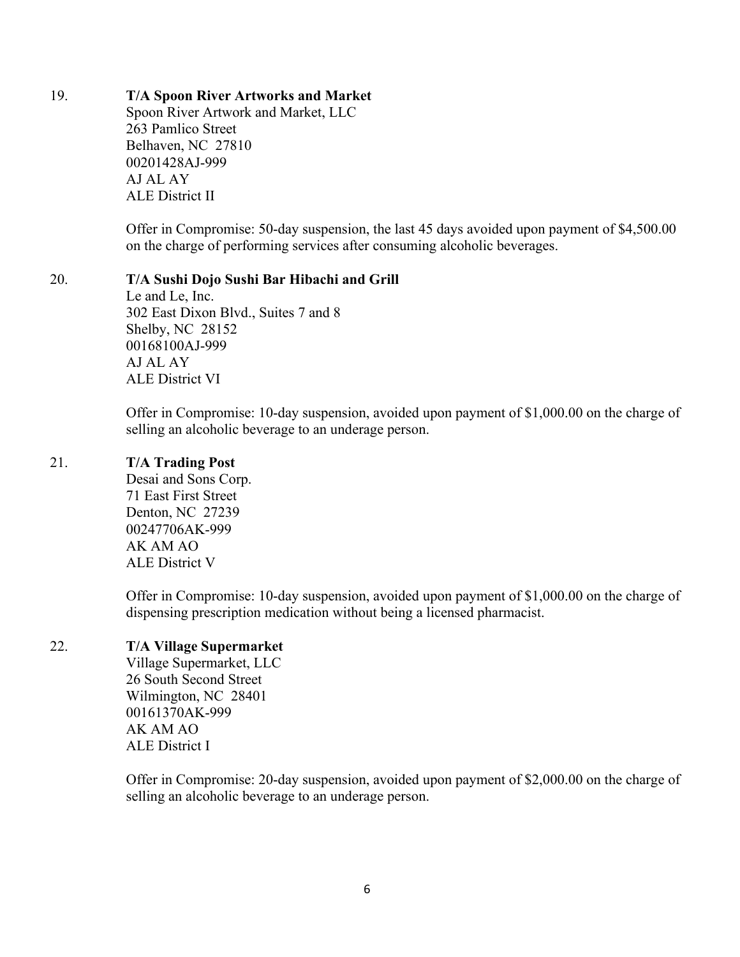## 19. **T/A Spoon River Artworks and Market**

Spoon River Artwork and Market, LLC 263 Pamlico Street Belhaven, NC 27810 00201428AJ-999 AJ AL AY ALE District II

Offer in Compromise: 50-day suspension, the last 45 days avoided upon payment of \$4,500.00 on the charge of performing services after consuming alcoholic beverages.

## 20. **T/A Sushi Dojo Sushi Bar Hibachi and Grill**

Le and Le, Inc. 302 East Dixon Blvd., Suites 7 and 8 Shelby, NC 28152 00168100AJ-999 AJ AL AY ALE District VI

Offer in Compromise: 10-day suspension, avoided upon payment of \$1,000.00 on the charge of selling an alcoholic beverage to an underage person.

### 21. **T/A Trading Post**

Desai and Sons Corp. 71 East First Street Denton, NC 27239 00247706AK-999 AK AM AO ALE District V

Offer in Compromise: 10-day suspension, avoided upon payment of \$1,000.00 on the charge of dispensing prescription medication without being a licensed pharmacist.

## 22. **T/A Village Supermarket**

Village Supermarket, LLC 26 South Second Street Wilmington, NC 28401 00161370AK-999 AK AM AO ALE District I

Offer in Compromise: 20-day suspension, avoided upon payment of \$2,000.00 on the charge of selling an alcoholic beverage to an underage person.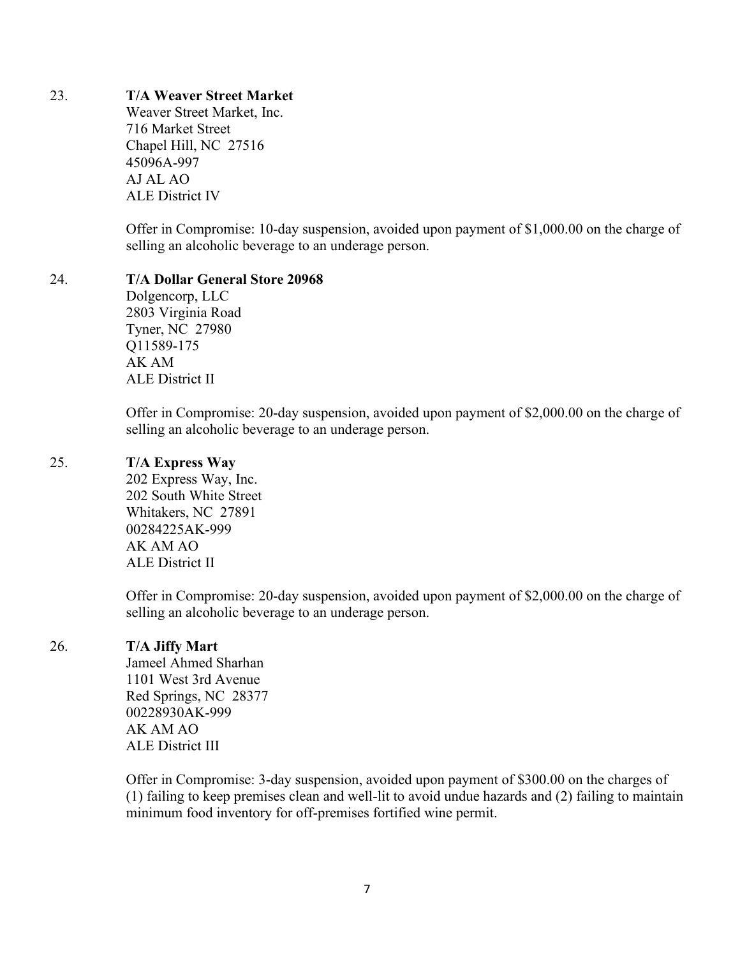## 23. **T/A Weaver Street Market**

Weaver Street Market, Inc. 716 Market Street Chapel Hill, NC 27516 45096A-997 AJ AL AO ALE District IV

Offer in Compromise: 10-day suspension, avoided upon payment of \$1,000.00 on the charge of selling an alcoholic beverage to an underage person.

### 24. **T/A Dollar General Store 20968**

Dolgencorp, LLC 2803 Virginia Road Tyner, NC 27980 Q11589-175 AK AM ALE District II

Offer in Compromise: 20-day suspension, avoided upon payment of \$2,000.00 on the charge of selling an alcoholic beverage to an underage person.

### 25. **T/A Express Way**

202 Express Way, Inc. 202 South White Street Whitakers, NC 27891 00284225AK-999 AK AM AO ALE District II

Offer in Compromise: 20-day suspension, avoided upon payment of \$2,000.00 on the charge of selling an alcoholic beverage to an underage person.

## 26. **T/A Jiffy Mart**

Jameel Ahmed Sharhan 1101 West 3rd Avenue Red Springs, NC 28377 00228930AK-999 AK AM AO ALE District III

Offer in Compromise: 3-day suspension, avoided upon payment of \$300.00 on the charges of (1) failing to keep premises clean and well-lit to avoid undue hazards and (2) failing to maintain minimum food inventory for off-premises fortified wine permit.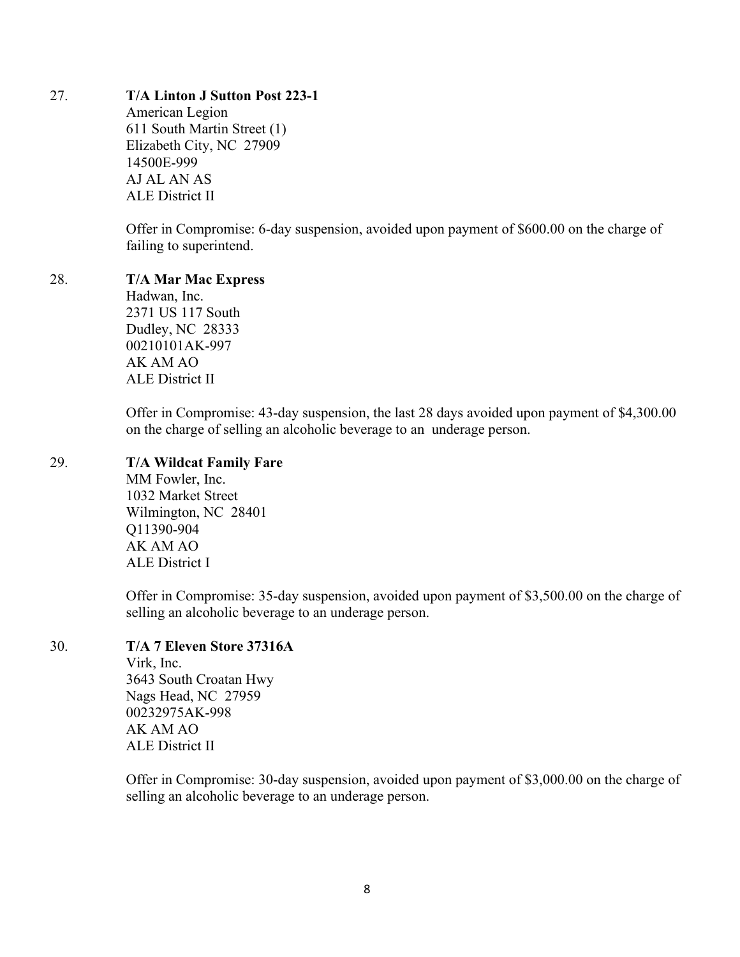### 27. **T/A Linton J Sutton Post 223-1**

American Legion 611 South Martin Street (1) Elizabeth City, NC 27909 14500E-999 AJ AL AN AS ALE District II

Offer in Compromise: 6-day suspension, avoided upon payment of \$600.00 on the charge of failing to superintend.

### 28. **T/A Mar Mac Express**

Hadwan, Inc. 2371 US 117 South Dudley, NC 28333 00210101AK-997 AK AM AO ALE District II

Offer in Compromise: 43-day suspension, the last 28 days avoided upon payment of \$4,300.00 on the charge of selling an alcoholic beverage to an underage person.

### 29. **T/A Wildcat Family Fare**

MM Fowler, Inc. 1032 Market Street Wilmington, NC 28401 Q11390-904 AK AM AO ALE District I

Offer in Compromise: 35-day suspension, avoided upon payment of \$3,500.00 on the charge of selling an alcoholic beverage to an underage person.

# 30. **T/A 7 Eleven Store 37316A**

Virk, Inc. 3643 South Croatan Hwy Nags Head, NC 27959 00232975AK-998 AK AM AO ALE District II

Offer in Compromise: 30-day suspension, avoided upon payment of \$3,000.00 on the charge of selling an alcoholic beverage to an underage person.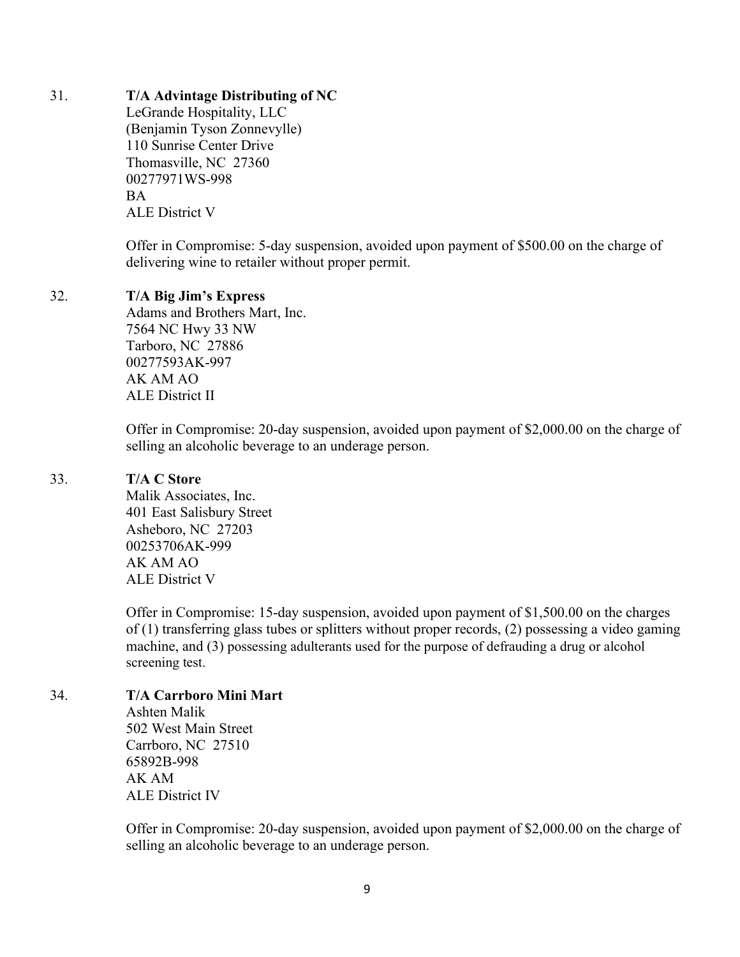### 31. **T/A Advintage Distributing of NC**

LeGrande Hospitality, LLC (Benjamin Tyson Zonnevylle) 110 Sunrise Center Drive Thomasville, NC 27360 00277971WS-998 BA ALE District V

Offer in Compromise: 5-day suspension, avoided upon payment of \$500.00 on the charge of delivering wine to retailer without proper permit.

### 32. **T/A Big Jim's Express**

Adams and Brothers Mart, Inc. 7564 NC Hwy 33 NW Tarboro, NC 27886 00277593AK-997 AK AM AO ALE District II

Offer in Compromise: 20-day suspension, avoided upon payment of \$2,000.00 on the charge of selling an alcoholic beverage to an underage person.

### 33. **T/A C Store**

Malik Associates, Inc. 401 East Salisbury Street Asheboro, NC 27203 00253706AK-999 AK AM AO ALE District V

Offer in Compromise: 15-day suspension, avoided upon payment of \$1,500.00 on the charges of (1) transferring glass tubes or splitters without proper records, (2) possessing a video gaming machine, and (3) possessing adulterants used for the purpose of defrauding a drug or alcohol screening test.

### 34. **T/A Carrboro Mini Mart**

Ashten Malik 502 West Main Street Carrboro, NC 27510 65892B-998 AK AM ALE District IV

Offer in Compromise: 20-day suspension, avoided upon payment of \$2,000.00 on the charge of selling an alcoholic beverage to an underage person.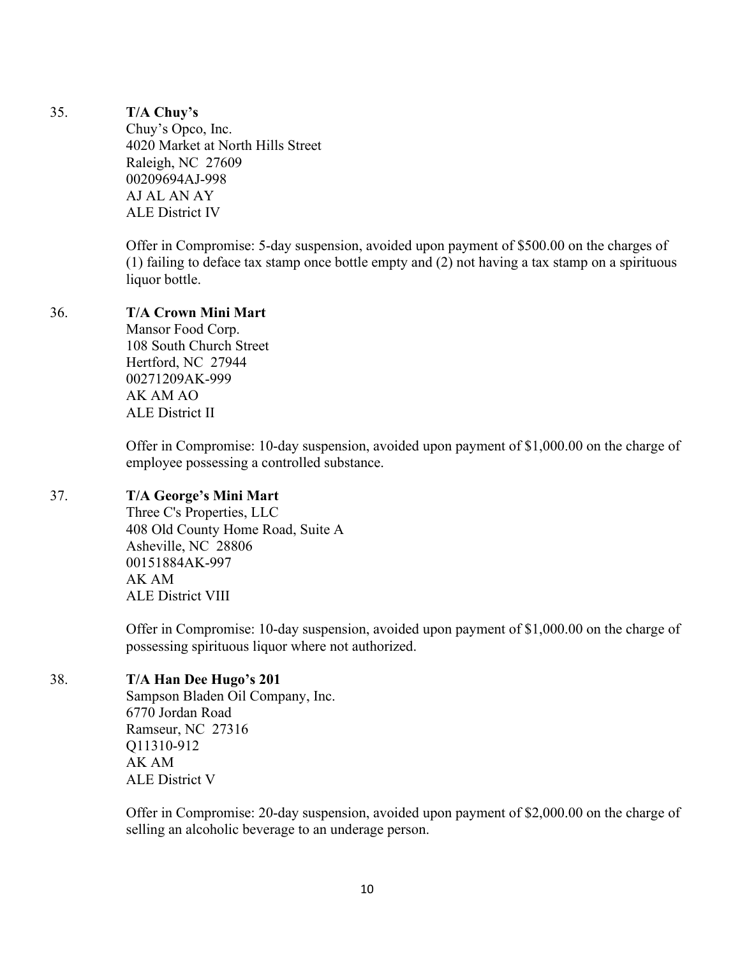### 35. **T/A Chuy's**

Chuy's Opco, Inc. 4020 Market at North Hills Street Raleigh, NC 27609 00209694AJ-998 AJ AL AN AY ALE District IV

Offer in Compromise: 5-day suspension, avoided upon payment of \$500.00 on the charges of (1) failing to deface tax stamp once bottle empty and (2) not having a tax stamp on a spirituous liquor bottle.

### 36. **T/A Crown Mini Mart**

Mansor Food Corp. 108 South Church Street Hertford, NC 27944 00271209AK-999 AK AM AO ALE District II

Offer in Compromise: 10-day suspension, avoided upon payment of \$1,000.00 on the charge of employee possessing a controlled substance.

### 37. **T/A George's Mini Mart**

Three C's Properties, LLC 408 Old County Home Road, Suite A Asheville, NC 28806 00151884AK-997 AK AM ALE District VIII

Offer in Compromise: 10-day suspension, avoided upon payment of \$1,000.00 on the charge of possessing spirituous liquor where not authorized.

## 38. **T/A Han Dee Hugo's 201**

Sampson Bladen Oil Company, Inc. 6770 Jordan Road Ramseur, NC 27316 Q11310-912 AK AM ALE District V

Offer in Compromise: 20-day suspension, avoided upon payment of \$2,000.00 on the charge of selling an alcoholic beverage to an underage person.